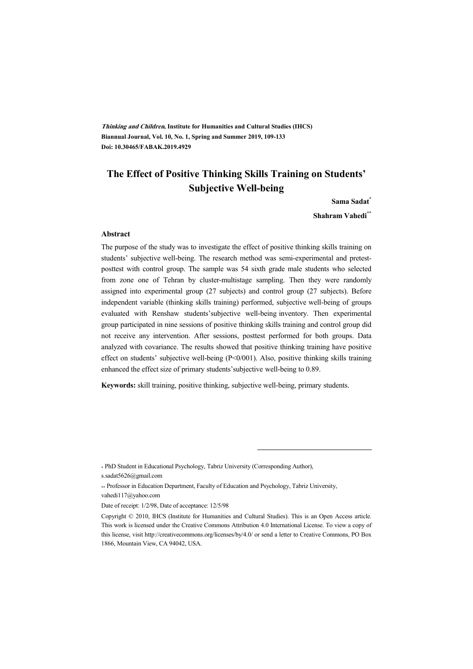**Thinking and Children, Institute for Humanities and Cultural Studies (IHCS) Biannual Journal, Vol. 10, No. 1, Spring and Summer 2019, 109-133 Doi: 10.30465/FABAK.2019.4929** 

## **The Effect of Positive Thinking Skills Training on Students' Subjective Well-being**

**Sama Sadat\***

**Shahram Vahedi\*\***

#### **Abstract**

The purpose of the study was to investigate the effect of positive thinking skills training on students' subjective well-being. The research method was semi-experimental and pretestposttest with control group. The sample was 54 sixth grade male students who selected from zone one of Tehran by cluster-multistage sampling. Then they were randomly assigned into experimental group (27 subjects) and control group (27 subjects). Before independent variable (thinking skills training) performed, subjective well-being of groups evaluated with Renshaw students'subjective well-being inventory. Then experimental group participated in nine sessions of positive thinking skills training and control group did not receive any intervention. After sessions, posttest performed for both groups. Data analyzed with covariance. The results showed that positive thinking training have positive effect on students' subjective well-being (P<0/001). Also, positive thinking skills training enhanced the effect size of primary students'subjective well-being to 0.89.

**Keywords:** skill training, positive thinking, subjective well-being, primary students.

.

<sup>\*</sup> PhD Student in Educational Psychology, Tabriz University (Corresponding Author),

s.sadat5626@gmail.com

<sup>\*\*</sup> Professor in Education Department, Faculty of Education and Psychology, Tabriz University, vahedi117@yahoo.com

Date of receipt: 1/2/98, Date of acceptance: 12/5/98

Copyright © 2010, IHCS (Institute for Humanities and Cultural Studies). This is an Open Access article. This work is licensed under the Creative Commons Attribution 4.0 International License. To view a copy of this license, visit http://creativecommons.org/licenses/by/4.0/ or send a letter to Creative Commons, PO Box 1866, Mountain View, CA 94042, USA.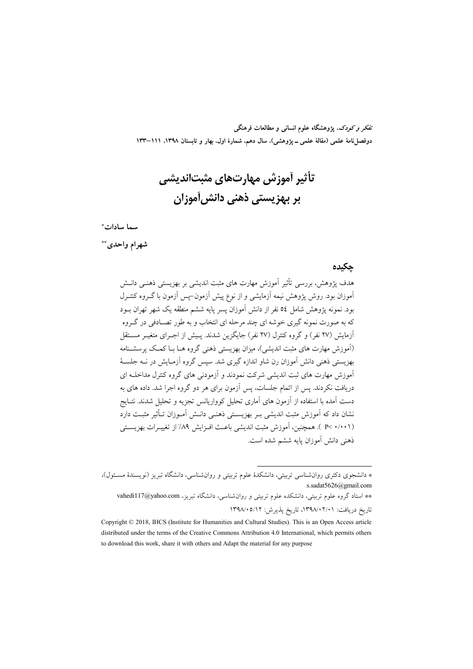تفکر و کودک، یژوهشگاه علوم انسانی و مطالعات فرهنگی دوفصلiامهٔ علمی (مقالهٔ علمی ــ پژوهشی)، سال دهم، شمارهٔ اول، بهار و تابستان ۱۳۹۸، ۱۱۱–۱۳۳

تأثیر آموزش مهارتهای مثبتاندیشی بر بھزیستی ذھنی دانش[موزان

#### سما سادات\*

شهرام واحدى\*\*

#### حكىدە

هدف پژوهش، بررسی تأثیر آموزش مهارت های مثبت اندیشی بر بهزیستی ذهنبی دانـش آموزان بود. روش پژوهش نیمه آزمایشی و از نوع پیش آزمون–پس آزمون با گـروه کنتـرل بود. نمونه پژوهش شامل ٥٤ نفر از دانش آموزان پسر پایه ششم منطقه یک شهر تهران بــود که به صورت نمونه گیری خوشه ای چند مرحله ای انتخاب و به طور تصـادفی در گـروه أزمایش (۲۷ نفر) و گروه کنترل (۲۷ نفر) جایگزین شدند. پـیش از اجـرای متغیـر مســتقل (آموزش مهارت های مثبت اندیشی)، میزان بهزیستی ذهنی گروه هـا بـا کمـک پرسشـنامه بهزیستی ذهنی دانش آموزان رن شاو اندازه گیری شد. سپس گروه آزمـایش در نــه جلســهٔ آموزش مهارت های ثبت اندیشی شرکت نمودند و آزمودنی های گروه کنترل مداخلـه ای دریافت نکردند. پس از اتمام جلسات، پس آزمون برای هر دو گروه اجرا شد. داده های به دست آمده با استفاده از آزمون های آماری تحلیل کوواریانس تجزیه و تحلیل شدند. نتــایج نشان داد که آموزش مثبت اندیشی بـر بهزیســتی ذهنــی دانــش آمــوزان تــأثیر مثبــت دارد (P< ۰/۰۰۱ ). همچنین، آموزش مثبت اندیشی باعث افـزایش ۸۹/ از تغییـرات بهزیسـتی ذهني دانش آموزان پايه ششم شده است.

<sup>\*</sup> دانشجوی دکتری روانشناسی تربیتی، دانشکدهٔ علوم تربیتی و روانشناسی، دانشگاه تبریز (نویسندهٔ مسئول)، s.sadat5626@gmail.com

<sup>\*\*</sup> استاد گروه علوم تربیتی، دانشکده علوم تربیتی و روان شناسی، دانشگاه تبریز، vahedi117@yahoo.com تاریخ دریافت: ۰۲/۱/۰۲/۰۲/۰۱، تاریخ پذیرش: ۱۳۹۸/۰۵/۱۲

Copyright © 2018, IHCS (Institute for Humanities and Cultural Studies). This is an Open Access article distributed under the terms of the Creative Commons Attribution 4.0 International, which permits others to download this work, share it with others and Adapt the material for any purpose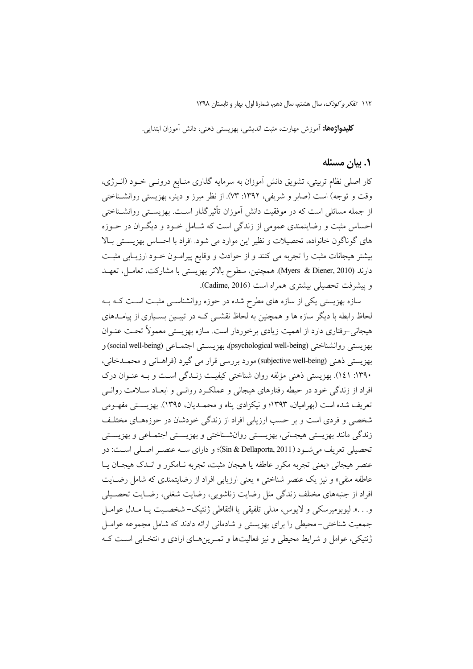**كليدواژهها:** آموزش مهارت، مثبت انديشي، بهزيستي ذهني، دانش آموزان ابتدايي.

### ۰۱ بیان مسئله

کار اصلی نظام تربیتی، تشویق دانش آموزان به سرمایه گذاری منـابع درونـی خــود (انــرژی، وقت و توجه) است (صابر و شریفی، ۱۳۹۲: ۰۷۳). از نظر میرز و دینر، بهزیستی روانشـناختی از جمله مسائلی است که در موفقیت دانش آموزان تأثیرگذار اسـت. بهزیسـتی روانشــناختی احساس مثبت و رضایتمندی عمومی از زندگی است که شـامل خـود و دیگـران در حـوزه های گوناگون خانواده، تحصیلات و نظیر این موارد می شود. افراد با احساس بهزیستی بالا بیشتر هیجانات مثبت را تجربه می کنند و از حوادث و وقایع پیرامـون خـود ارزیـابی مثبـت دارند (Myers & Diener, 2010). همچنین، سطوح بالاتر بهزیستی با مشارکت، تعامـل، تعهـد و پیشرفت تحصیلی بیشتری همراه است (Cadime, 2016).

سازه بهزیستی یکی از سازه های مطرح شده در حوزه روانشناسـی مثبـت اسـت کــه بــه لحاظ رابطه با دیگر سازه ها و همچنین به لحاظ نقشــی کــه در تبیــین بســیاری از پیامــدهای هیجانی –رفتاری دارد از اهمیت زیادی برخوردار است. سازه بهزیستی معمولاً تحـت عنـوان بهزيستي دوانشناختي (psychological well-being)، پهزيستي اجتمــاعي (social well-being) و بھزيستي ذهني (subjective well-being) مورد بررسي قرار مي گيرد (فراهــاني و محمــدخاني، ۱۳۹۰: ۱٤۱). بهزیستی ذهنی مؤلفه روان شناختی کیفیت زنـدگی اسـت و بـه عنـوان درک افراد از زندگی خود در حیطه رفتارهای هیجانی و عملکـرد روانـی و ابعـاد سـلامت روانـی تعریف شده است (بهرامیان، ۱۳۹۳؛ و نیکزادی پناه و محمـدیان، ۱۳۹۵). بهزیسـتی مفهــومی شخصی و فردی است و بر حسب ارزیابی افراد از زندگی خودشان در حوزههـای مختلـف زندگی مانند بهزیستی هیجـانی، بهزیسـتی روانشـناختی و بهزیسـتی اجتمـاعی و بهزیسـتی تحصيلي تعريف مي شـود (Sin & Dellaporta, 2011)؛ و داراي سـه عنصـر اصـلي اسـت: دو عنصر هيجاني «يعني تجربه مكرر عاطفه يا هيجان مثبت، تجربه نـامكرر و انــدك هيجــان يــا عاطفه منفي» و نيز يک عنصر شناختي « يعني ارزيابي افراد از رضايتمندي که شامل رضـايت افراد از جنبههای مختلف زندگی مثل رضایت زناشویی، رضایت شغلی، رضـایت تحصـیلی و…». ليوبوميرسكي و لايوس، مدلي تلفيقي يا التقاطي ژنتيک-شخصـيت يــا مــدل عوامــل جمعیت شناختی – محیطی را برای بهزیستی و شادمانی ارائه دادند که شامل مجموعه عوامـل ژنتیکی، عوامل و شرایط محیطی و نیز فعالیتها و تمـرینهـای ارادی و انتخـابی اسـت کـه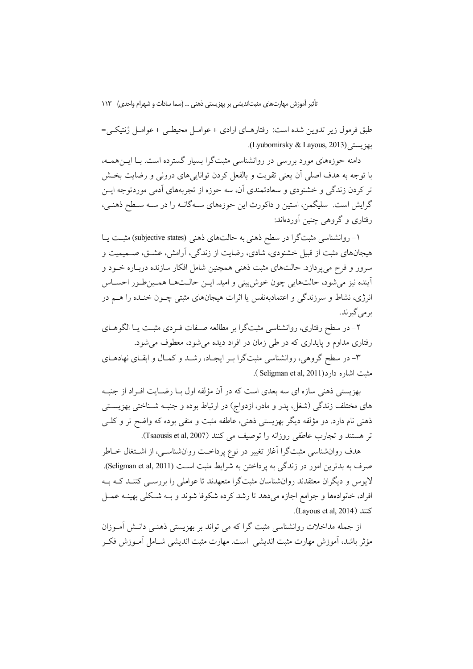طبق فرمول زیر تدوین شده است: رفتارهـای ارادی + عوامـل محیطـی + عوامـل ژنتیکـی= بهز بستر (Lyubomirsky & Layous, 2013).

دامنه حوزههای مورد بررسی در روانشناسی مثبتگرا بسیار گسترده است. بـا ایــنهمــه، با توجه به هدف اصلی اَن یعنی تقویت و بالفعل کردن توانایی های درونی و رضایت بخــش تر کردن زندگی و خشنودی و سعادتمندی آن، سه حوزه از تجربههای اَدمی موردتوجه ایــن گرایش است. سلیگمن، استین و داکورث این حوزههای سـهگانـه را در سـه سـطح ذهنـی، رفتاری و گروهی چنین آوردهاند:

۱– روانشناسی مثبتگرا در سطح ذهنی به حالتهای ذهنی (subjective states) مثبـت یــا هیجانهای مثبت از قبیل خشنودی، شادی، رضایت از زندگی، آرامش، عشـق، صــمیمیت و سرور و فرح می یردازد. حالتهای مثبت ذهنی همچنین شامل افکار سازنده دربـاره خــود و آينده نيز مي شود، حالتهايي چون خوش بيني و اميد. ايــن حالــتهــا همــين طــور احســاس انرژی، نشاط و سرزندگی و اعتمادبهنفس یا اثرات هیجانهای مثبتی چــون خنــده را هــم در بر می گیر ند.

۲– در سطح رفتاری، روانشناسی مثبتگرا بر مطالعه صـفات فـردی مثبـت یـا الگوهــای رفتاری مداوم و پایداری که در طی زمان در افراد دیده میشود، معطوف می شود.

۳– در سطح گروهی، روانشناسی مثبتگرا بـر ایجـاد، رشــد و کمــال و ابقــای نهادهــای مثبت اشاره دار د(Seligman et al, 2011).

بهزیستی ذهنی سازه ای سه بعدی است که در آن مؤلفه اول بـا رضـایت افـراد از جنبـه های مختلف زندگی (شغل، پدر و مادر، ازدواج) در ارتباط بوده و جنبـه شــناختی بهزیســتی ذهني نام دارد. دو مؤلفه ديگر بهزيستي ذهني، عاطفه مثبت و منفي بوده كه واضح تر و كلــي تر هستند و تجارب عاطفي روزانه را توصيف مي كنند (Tsaousis et al, 2007).

هدف روانشناسی مثبتگرا آغاز تغییر در نوع پرداخـت روانشناسـی، از اشــتغال خــاطر صرف به بدترین امور در زندگی به پرداختن به شرایط مثبت است (Seligman et al, 2011). لایوس و دیگران معتقدند روانشناسان مثبتگرا متعهدند تا عواملی را بررســی کننــد کــه بــه افراد، خانوادهها و جوامع اجازه میدهد تا رشد کرده شکوفا شوند و بـه شـکلی بهینــه عمــل  $(Lavous et al. 2014)$   $\exists$ 

از جمله مداخلات روانشناسی مثبت گرا که می تواند بر بهزیستی ذهنـی دانـش آمـوزان مؤثر باشد، اَموزش مهارت مثبت اندیشی ِ است. مهارت مثبت اندیشی شــامل اَمــوزش فکــر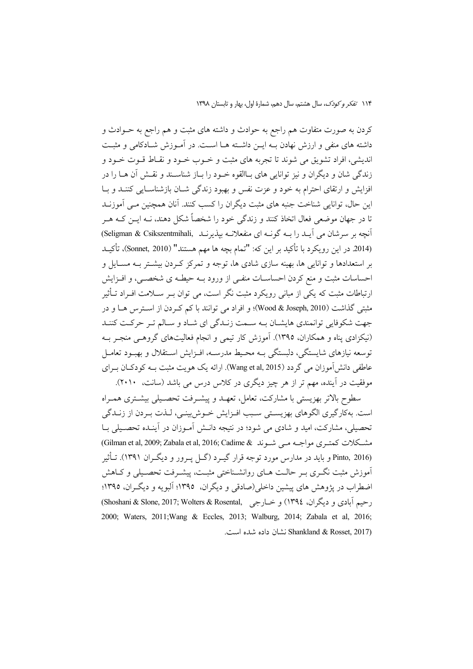کردن به صورت متفاوت هم راجع به حوادث و داشته های مثبت و هم راجع به حــوادث و داشته های منفی و ارزش نهادن بــه ایــن داشــته هــا اســت. در آمــوزش شــادکامی و مثبــت اندیشی، افراد تشویق می شوند تا تجربه های مثبت و خــوب خــود و نقــاط قــوت خــود و زندگی شان و دیگران و نیز توانایی های بـاالقوه خـود را بـاز شناسـند و نقـش آن هــا را در افزایش و ارتقای احترام به خود و عزت نفس و بهبود زندگی شبان بازشناسبایی کننید و بیا این حال، توانایی شناخت جنبه های مثبت دیگران را کسب کنند. آنان همچنین مبی آموزنــد تا در جهان موضعی فعال اتخاذ کنند و زندگی خود را شخصاً شکل دهند، نــه ایــن کــه هــر آنچه بر سرشان می آیـد را بـه گونـه ای منفعلانـه بیذیرنـد (Seligman & Csikszentmihali) (2014 در این رویکرد با تأکید بر این که: "تمام بچه ها مهم هستند" (Sonnet, 2010)، تأکیـد بر استعدادها و توانایی ها، بهینه سازی شادی ها، توجه و تمرکز کـردن بیشــتر بــه مســایل و احساسات مثبت و منع کردن احساسـات منفـی از ورود بـه حیطـه ی شخصـی، و افــزایش ارتباطات مثبت که یکی از مبانی رویکرد مثبت نگر است، می توان بـر ســلامت افــراد تــأثیر مثبتی گذاشت (Wood & Joseph, 2010)؛ و افراد می توانند با کم کـردن از اســترس هــا و در جهت شکوفایی توانمندی هایشـان بـه سـمت زنـدگی ای شـاد و سـالم تـر حرکـت کننـد (نیکزادی پناه و همکاران، ۱۳۹۵). آموزش کار تیمی و انجام فعالیتهای گروهـی منجـر بــه توسعه نیازهای شایستگی، دلبستگی بــه محـیط مدرســه، افــزایش اســتقلال و بهبــود تعامــل عاطفي دانش آموزان مي گردد (Wang et al, 2015). ارائه يک هويت مثبت بــه کودکــان بــراي موفقیت در آینده، مهم تر از هر چیز دیگری در کلاس درس می باشد (سانت، ۲۰۱۰).

سطوح بالاتر بهزيستي يا مشاركت، تعامل، تعهـد و پيشـرفت تحصـيلي پيشـتري همـراه است. بهکارگیری الگوهای بهزیستی سبب افـزایش خـوش.بینـی، لـذت بـردن از زنـدگی تحصیلی، مشارکت، امید و شادی می شود؛ در نتیجه دانـش آمـوزان در آینـده تحصـیلی بــا مشكلات كمتبرى مواجبه مبي شيوند @Gilman et al, 2009; Zabala et al, 2016; Cadime & Pinto, 2016) و باید در مدارس مورد توجه قرار گیرد (گـل پـرور و دیگـران ۱۳۹۱). تـأثیر آموزش مثبت نگـری بـر حالـت هـای روانشـناختی مثبـت، پیشـرفت تحصـیلی و کـاهش اضطراب در پژوهش های پیشین داخلی(صادقی و دیگران، ۱۳۹۵؛ آلبویه و دیگران، ۱۳۹۵؛ رحيم آبادي و ديگران، ١٣٩٤) و خــارجي ,Shoshani & Slone, 2017; Wolters & Rosental) 2000; Waters, 2011; Wang & Eccles, 2013; Walburg, 2014; Zabala et al., 2016; Shankland & Rosset, 2017) نشان داده شده است.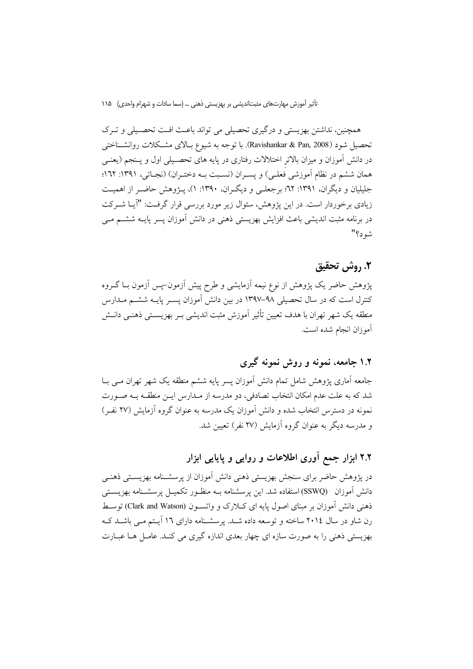همچنین، نداشتن بهزیستی و درگیری تحصیلی می تواند باعث افت تحصـیلی و تـرک تحصيل شود (Ravishankar & Pan, 2008). با توجه به شيوع بـالاي مشـكلات روانشـناختى در دانش آموزان و میزان بالاتر اختلالات رفتاری در پایه های تحصـیلی اول و پـنجم (یعنـی همان ششم در نظام آموزشی فعلـی) و یسـران (نسـبت بــه دختـران) (نجـاتی، ۱۳۹۱: ۱۲۲: جلیلیان و دیگران، ۱۳۹۱: ۲۲؛ برجعلبی و دیگران، ۱۳۹۰: ۱)، پـژوهش حاضـر از اهمیـت زیادی برخوردار است. در این پژوهش، سئوال زیر مورد بررسی قرار گرفت: "آیــا شــرکت در برنامه مثبت اندیشی باعث افزایش بهزیستی ذهنی در دانش آموزان پسر پایــه ششــم مــی شه د؟"

## ٢. روش تحقيق

پژوهش حاضر یک پژوهش از نوع نیمه آزمایشی و طرح پیش آزمون–پس آزمون بــا گــروه کنترل است که در سال تحصیلی ۹۸–۱۳۹۷ در بین دانش آموزان پسـر پایــه ششــم مــدارس منطقه یک شهر تهران با هدف تعیین تأثیر آموزش مثبت اندیشی بـر بهزیســتی ذهنــی دانــش أموزان انجام شده است.

## ۱.۲ جامعه، نمونه و روش نمونه گیری

جامعه آماری پژوهش شامل تمام دانش آموزان پسر پایه ششم منطقه یک شهر تهران مــی بــا شد که به علت عدم امکان انتخاب تصادفی، دو مدرسه از مـدارس ایــن منطقــه بــه صــورت نمونه در دسترس انتخاب شده و دانش آموزان یک مدرسه به عنوان گروه آزمایش (۲۷ نفـر) و مدرسه دیگر به عنوان گروه آزمایش (۲۷ نفر) تعیین شد.

## ۲.۲ ابزار جمع آوری اطلاعات و روایی و پایایی ابزار

در پژوهش حاضر برای سنجش بهزیستی ذهنی دانش آموزان از پرسشـنامه بهزیسـتی ذهنـی دانش آموزان (SSWQ) استفاده شد. این یرسشنامه بـه منظـور تکمیــل یرسشــنامه بهزیســتی ذهنی دانش آموزان بر مبنای اصول یایه ای کـلارک و واتســون (Clark and Watson) توسـط رن شاو در سال ۲۰۱٤ ساخته و توسعه داده شـد. پرسشـنامه دارای ۱٦ آیـتم مـی باشـد کـه بهزیستی ذهنی را به صورت سازه ای چهار بعدی اندازه گیری می کنـد. عامـل هــا عبــارت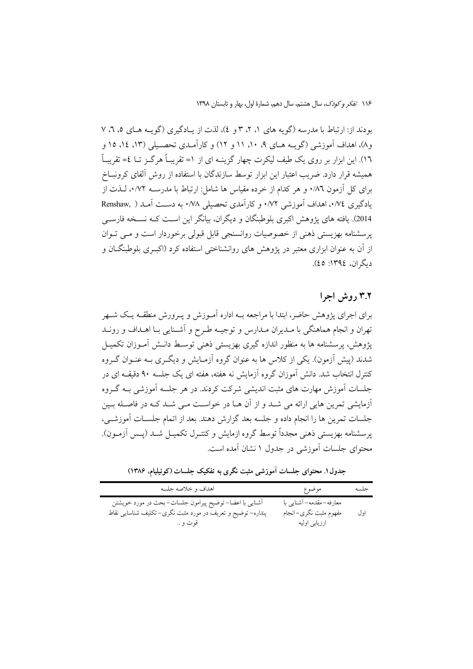بودند از: ارتباط با مدرسه (گويه هاي ١، ٢، ٣ و ٤)، لذت از يادگيري (گويـه هـاي ٥، ٦، ٧ و ۸)، اهداف آموزشی (گوب هبای ۹، ۱۰، ۱۱ و ۱۲) و کارآمیدی تحصیلی (۱۳، ۱۶، ۱۵ و ١٦). این ابزار بر روی یک طیف لیکرت چهار گزینـه ای از ١= تقریبـاً هرگــز تــا ٤= تقریبـاً همیشه قرار دارد. ضریب اعتبار این ابزار توسط سازندگان با استفاده از روش آلفای کرونبــاخ برای کل آزمون ۸٦/۰ و هر کدام از خرده مقیاس ها شامل: ارتباط با مدرســه ۰/۷۲، لــذت از یادگیری ۰/۷٤، اهداف آموزشی ۰/۷۲ و کارآمدی تحصیلی ۰/۷۸ به دست آمـد ( Renshaw, 2014). یافته های یژوهش اکبری بلوطبنگان و دیگران، بیانگر این است کـه نسـخه فارسـی یرسشنامه بهزیستی ذهنی از خصوصیات روانسنجی قابل قبولی برخوردار است و مبی تبوان از آن به عنوان ابزاری معتبر در پژوهش های روانشناختی استفاده کرد (اکبـری بلوطبنگــان و ديگران، ١٣٩٤: ٤٥).

### ۳.۲ د وش اجرا

برای اجرای پژوهش حاضر، ابتدا با مراجعه بــه اداره آمــوزش و پــرورش منطقــه پــک شــهر تهران و انجام هماهنگی با مـدیران مـدارس و توجیــه طـرح و آشــنایی بــا اهــداف و رونــد یژوهش، پرسشنامه ها به منظور اندازه گیری بهزیستی ذهنی توسیط دانیش آمیوزان تکمیل شدند (پیش اَزمون). یکی از کلاس ها به عنوان گروه اَزمـایش و دیگـری بــه عنــوان گــروه کنترل انتخاب شد. دانش آموزان گروه آزمایش نه هفته، هفته ای یک جلسه ۹۰ دقیقــه ای در جلسات آموزش مهارت های مثبت اندیشی شرکت کردند. در هر جلسه آموزشی بـه گـروه آزمایشی تمرین هایی ارائه می شـد و از آن هـا در خواسـت مـی شـد کـه در فاصـله بـین جلسات تمرين ها را انجام داده و جلسه بعد گزارش دهند. بعد از اتمام جلسـات آموزشـي، یرسشنامه بھزیستی ذہنی مجدداً توسط گروہ ازمایش و کنتـرل تکمیـل شــد (پــس آزمــون). محتوای جلسات آموزشی در جدول ۱ نشان آمده است.

اهداف وخلاصه جلسه جلسه موضوع -<br>اَشنایی با اعضا– توضیح پیرامون جلسات–بحث در مورد خویشتن معارفه–مقدمه– آشنایی با پنداره– توضیح و تعریف در مورد مثبت نگری– تکلیف شناسایی نقاط مفهوم مثبت نگرى–انجام او ل ارزيابي اوليه قوت و ..

جدول ۱. محتوای جلسات آموزشی مثبت نگری به تفکیک جلسات (کوئیلیام، ۱۳۸۶)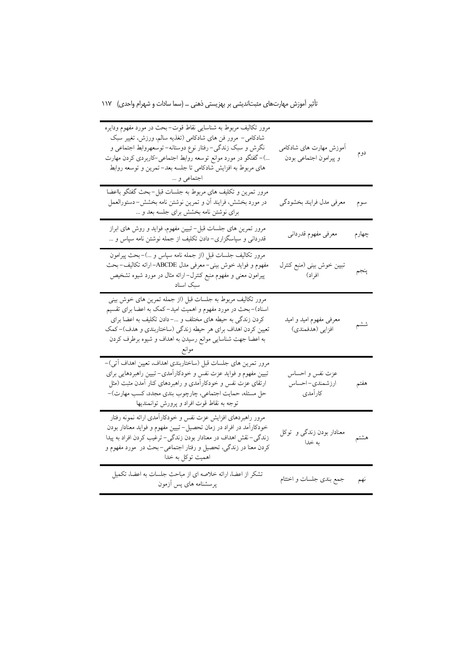| مرور تکالیف مربوط به شناسایی نقاط قوت–بحث در مورد مفهوم ودایره<br>شادکامی– مرور فن های شادکامی (تغذیه سالم، ورزش، تغییر سبک<br>نگرش و سبک زندگی-رفتار نوع دوستانه– توسعهروابط اجتماعی و<br>…)–گفتگو در مورد موانع توسعه روابط اجتماعی–کاربردی کردن مهارت<br>های مربوط به افزایش شادکامی تا جلسه بعد– تمرین و توسعه روابط<br>اجتماعی و … | أموزش مهارت هاى شادكامى<br>و پیرامون اجتماعی بودن | دوم   |
|-----------------------------------------------------------------------------------------------------------------------------------------------------------------------------------------------------------------------------------------------------------------------------------------------------------------------------------------|---------------------------------------------------|-------|
| مرور تمرین و تکلیف های مربوط به جلسات قبل−بحث گفتگو بااعضا<br>در مورد بخشش، فرایند آن و تمرین نوشتن نامه بخشش-دستورالعمل<br>برای نوشتن نامه بخشش برای جلسه بعد و …                                                                                                                                                                      | معرفي مدل فرايند بخشودكي                          | سوم   |
| مرور تمرین های جلسات قبل-تبیین مفهوم، فواید و روش های ابراز<br>قدردانی و سپاسگزاری– دادن تکلیف از جمله نوشتن نامه سپاس و …                                                                                                                                                                                                              | معرفى مفهوم قدرداني                               | چهارم |
| مرور تکالیف جلسات قبل (از جمله نامه سپاس و …)–بحث پیرامون<br>مفهوم و فواید خوش بینی–معرفی مدل ABCDE–ارائه تکالیف–بحث<br>پیرامون معنی و مفهوم منبع کنترل–ارائه مثال در مورد شیوه تشخیص<br>سبک اسناد                                                                                                                                      | تبيين خوش بيني (منبع كنترل<br>افراد)              | پنجم  |
| مرور تکالیف مربوط به جلسات قبل (از جمله تمرین های خوش بینی<br>اسناد)–بحث در مورد مفهوم و اهمیت امید–کمک به اعضا برای تقسیم<br>کردن زندگی به حیطه های مختلف و …– دادن تکلیف به اعضا برای<br>تعیین کردن اهداف برای هر حیطه زندگی (ساختاربندی و هدف)-کمک<br>به اعضا جهت شناسایی موانع رسیدن به اهداف و شیوه برطرف کردن                     | معرفی مفهوم امید و امید<br>افزايي (هدفمندي)       | ششم   |
| مرور تمرین های جلسات قبل (ساختاربندی اهداف، تعیین اهداف آتی)–<br>تبیین مفهوم و فواید عزت نفس و خودکارآمدی– تبیین راهبردهایی برای<br>ارتقای عزت نفس و خودکارآمدی و راهبردهای کنار آمدن مثبت (مثل<br>حل مسئله، حمایت اجتماعی، چارچوب بندی مجدد، کسب مهارت)-<br>توجه به نقاط قوت افراد و پرورش توانمندیها                                  | عزت نفس و احساس<br>ارزشمندي- احساس<br>كارآمدي     | هفتم  |
| مرور راهبردهای افزایش عزت نفس و خودکارآمدی ارائه نمونه رفتار<br>خودکارآمد در افراد در زمان تحصیل-تبیین مفهوم و فواید معنادار بودن<br>زندگی–نقش اهداف در معنادار بودن زندگی–ترغیب کردن افراد به پیدا<br>کردن معنا در زندگی، تحصیل و رفتار اجتماعی–بحث در  مورد مفهوم و<br>اهمیت توکل به خدا                                              | معنادار بودن زندگی و توکل<br>به خدا               | هشتم  |
| تشکر از اعضا، ارائه خلاصه ای از مباحث جلسات به اعضا، تکمیل<br>پرسشنامه های پس آزمون                                                                                                                                                                                                                                                     | جمع بندى جلسات و اختتام                           | نهم   |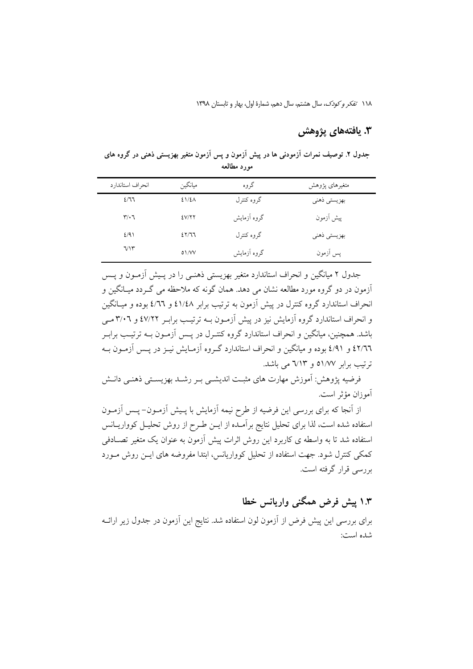## 3. يافتەهاي يژوهش

جدول ۲. توصیف نمرات آزمودنی ها در پیش آزمون و پس آزمون متغیر بهزیستی ذهنی در گروه های مورد مطالعه

| انحراف استاندارد              | ميانگين | گروه        | متغيرهاى پژوهش |
|-------------------------------|---------|-------------|----------------|
| 2/77                          | 21/2A   | گروه کنترل  | بهزيستي ذهني   |
| $\mathbf{r}/\cdot \mathbf{r}$ | EV/YY   | گروه آزمایش | پیش آزمون      |
| 2/91                          | 25/77   | گروه کنترل  | بهزيستي ذهني   |
| VY                            | 01/VV   | گروه آزمایش | پس آزمون       |

جدول ۲ میانگین و انحراف استاندارد متغیر بهزیستی ذهنـی را در پـیش آزمـون و پــس ۔<br>آزمون در دو گروہ مورد مطالعه نشان می دهد. همان گونه که ملاحظه می گـردد میـانگین و انحراف استاندارد گروه کنترل در پیش آزمون به ترتیب برابر ٤١/٤٨ و ٤/٦٦ بوده و میـانگین و انحراف استاندارد گروه آزمایش نیز در پیش آزمـون بــه ترتیـب برابـر ٤٧/٢٢ و ٣/٠٦ مــي باشد. همچنین، میانگین و انحراف استاندارد گروه کنتـرل در پـس آزمـون بــه ترتیـب برابـر ٤٢/٦٦ و ٤/٩١ بوده و ميانگين و انحراف استاندارد گـروه آزمـايش نيـز در پـس آزمـون بـه ترتیب برابر ٥١/٧٧ و ٦/١٣ می باشد.

فرضیه یژوهش: اَموزش مهارت های مثبت اندیشــی بــر رشــد بهزیســتی ذهنــی دانــش آموزان مؤثر است.

از آنجا که برای بررسی این فرضیه از طرح نیمه آزمایش با پـیش آزمـون– پـس آزمـون استفاده شده است، لذا برای تحلیل نتایج برآمـده از ایــن طـرح از روش تحلیــل کوواریــانس استفاده شد تا به واسطه ی کاربرد این روش اثرات پیش آزمون به عنوان یک متغیر تصـادفی کمکی کنترل شود. جهت استفاده از تحلیل کوواریانس، ابتدا مفروضه های ایــن روش مــورد بررسی قرار گرفته است.

# ۱.۳ پیش فرض همگنی واریانس خطا

برای بررسی این پیش فرض از أزمون لون استفاده شد. نتایج این أزمون در جدول زیر ارائــه شده است: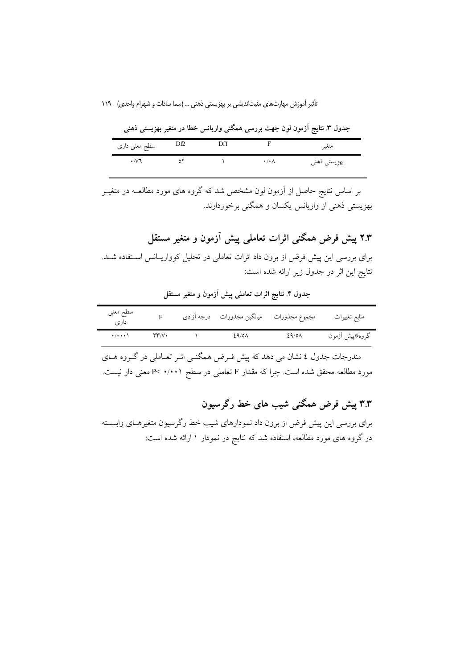|                    |     |                      | جدول ۲. نتایج آزموں لوں جهت بررسی همکنی واریانس حطا در متعیر بهزیستی دهنی |
|--------------------|-----|----------------------|---------------------------------------------------------------------------|
| سطح معنی داری      | Df2 |                      | متغير                                                                     |
| $\cdot$ / $\vee$ 1 |     | $\cdot/\cdot \wedge$ | بهزيستي ذهني                                                              |

.<br>مدول ۳ نتایج آذمون لون حصت مرسی همگذر وارمانید خطا در متغیر به ست خون

بر اساس نتایج حاصل از آزمون لون مشخص شد که گروه های مورد مطالعـه در متغیــر بهزیستی ذهنی از واریانس یکسان و همگنی برخوردارند.

۲.۳ پیش فرض همگنی اثرات تعاملی پیش آزمون و متغیر مستقل

برای بررسی این پیش فرض از برون داد اثرات تعاملی در تحلیل کوواریـانس اسـتفاده شـد. نتايج اين اثر در جدول زير ارائه شده است:

| سطح معنى<br>دارى            |     | مجموع مجذورات ميانگين مجذورات درجه أزادي |       | منابع تغييرات   |
|-----------------------------|-----|------------------------------------------|-------|-----------------|
| $\cdot$ / $\cdot$ $\cdot$ \ | Υv. | 29/0A                                    | ٤٩/٥٨ | گروه، پیش أزمون |

جدول ۴. نتایج اثرات تعاملی پیش آزمون و متغیر مستقل

مندرجات جدول ٤ نشان مي دهد كه پيش فـرض همگنــي اثــر تعــاملي در گــروه هــاي مورد مطالعه محقق شده است. چرا که مقدار F تعاملی در سطح ۰/۰۰۱ >P معنی دار نیست.

۳.۳ پیش فرض همگنی شیب های خط رگرسیون

برای بررسی این پیش فرض از برون داد نمودارهای شیب خط رگرسیون متغیرهـای وابسـته در گروه های مورد مطالعه، استفاده شد که نتایج در نمودار ۱ ارائه شده است: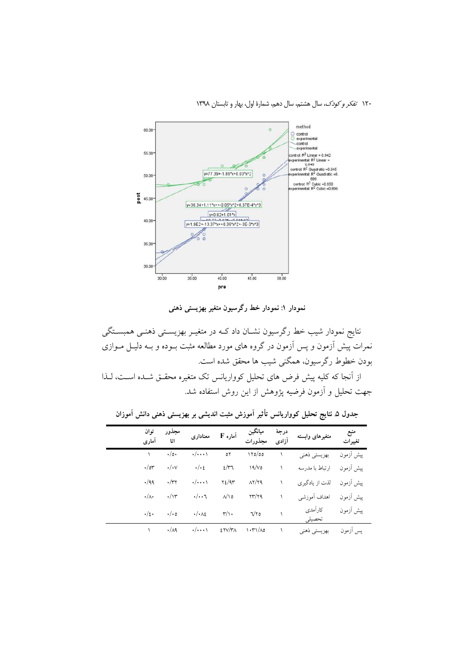

نمودار ۱: نمودار خط رگرسیون متغیر بهزیستی ذهنی

نتایج نمودار شیب خط رگرسیون نشـان داد کـه در متغیـر بهزیسـتی ذهنـی همبسـتگی نمرات پیش آزمون و پس آزمون در گروه های مورد مطالعه مثبت بــوده و بــه دلیــل مــوازی بودن خطوط رگرسیون، همگنی شیب ها محقق شده است. از آنجا که کلیه پیش فرض های تحلیل کوواریانس تک متغیره محقـق شـده اسـت، لـذا

جهت تحلیل و آزمون فرضیه پژوهش از این روش استفاده شد.

| توان<br>آماري       | مجذور<br>اتا         | معنادارى                      | آماره F                   | ميانگين<br>مجذورات          | درجة<br>آزادى | متغيرهاى وابسته   | منبع<br>تغییرات |
|---------------------|----------------------|-------------------------------|---------------------------|-----------------------------|---------------|-------------------|-----------------|
|                     | $\cdot/\circ\cdot$   | $\cdot/\cdots$                | ٥٢                        | ۱۲۵/00                      |               | بهزيستي ذهني      | پیش آزمون       |
| $\cdot/\circ r$     | $\cdot/\cdot$ $\vee$ | $\cdot/\cdot$                 | $2/\tau$                  | 19/v                        |               | ارتباط با مدرسه   | ييش أزمون       |
| $\cdot$ /99         | $\cdot/\tau$         | $\cdot/\cdot\cdot\cdot$       | Y2/9T                     | $\lambda Y/YQ$              |               | لذت از يادگيري    | ييش أزمون       |
| $\cdot/\wedge\cdot$ | $\cdot/\gamma$       | $\cdot/\cdot\cdot$ ٦          | $\wedge/\wedge$ 0         | $\gamma\gamma/\gamma$       |               | اهداف أموزشي      | ييش أزمون       |
| $\cdot/\epsilon$ .  | $\cdot/\cdot$ 0      | $\cdot/\cdot \wedge \epsilon$ | $\mathsf{r}/\mathsf{r}$ . | V۲0                         |               | كارآمدي<br>تحصيلى | پیش آزمون       |
|                     | $\cdot/\wedge$ ٩     | $\cdot/\cdots$                | ETV/TA                    | $\binom{1+\gamma}{\Lambda}$ |               | بهزيستي ذهني      | پس أزمون        |

جدول ۵ نتایج تحلیل کوواریانس تأثیر آموزش مثبت اندیشی بر بهزیستی ذهنی دانش آموزان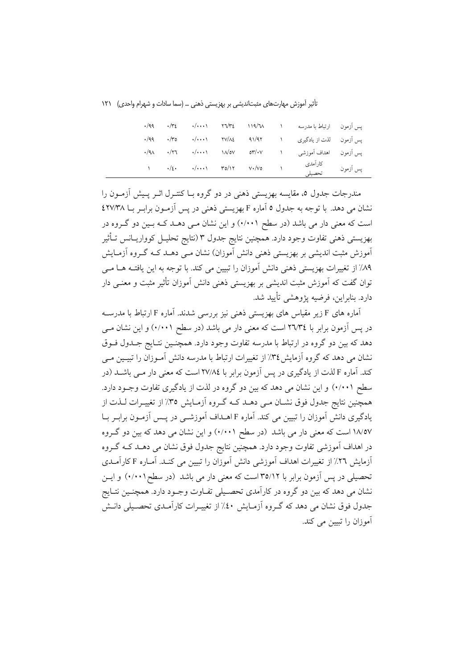تأثیر آموزش مهارتهای مثبتاندیشی بر بهزیستی ذهنی … (سما سادات و شهرام واحدی) ۱۲۱

|  |                                                                                                                                                                                                                                                                                                                    |  | يس أزمون ارتباط با مدرسه    |          |
|--|--------------------------------------------------------------------------------------------------------------------------------------------------------------------------------------------------------------------------------------------------------------------------------------------------------------------|--|-----------------------------|----------|
|  | $\cdot$ /99 $\cdot$ / $\cdot$ 0 $\cdot$ / $\cdot$ $\cdot$ 1 $\cdot$ $\cdot$ $\cdot$ $\cdot$ 91/97                                                                                                                                                                                                                  |  | يس أزمون لذت از يادگيري     |          |
|  | $\cdot$ /91 $\cdot$ /77 $\cdot$ / $\cdot$ $\cdot$ 1 $\sqrt{ov}$ or/ $\cdot$ v                                                                                                                                                                                                                                      |  | يس اَزمون     اهداف اَموزشي |          |
|  | $\sqrt{2}$ $\sqrt{2}$ $\sqrt{2}$ $\sqrt{2}$ $\sqrt{2}$ $\sqrt{2}$ $\sqrt{2}$ $\sqrt{2}$ $\sqrt{2}$ $\sqrt{2}$ $\sqrt{2}$ $\sqrt{2}$ $\sqrt{2}$ $\sqrt{2}$ $\sqrt{2}$ $\sqrt{2}$ $\sqrt{2}$ $\sqrt{2}$ $\sqrt{2}$ $\sqrt{2}$ $\sqrt{2}$ $\sqrt{2}$ $\sqrt{2}$ $\sqrt{2}$ $\sqrt{2}$ $\sqrt{2}$ $\sqrt{2}$ $\sqrt{2$ |  | كارآمدي<br>تحصيلى           | يس أزمون |

مندرجات جدول ٥، مقايسه بهزيستي ذهني در دو گروه بــا كنتــرل اثــر يــيش آزمــون را نشان می دهد. با توجه به جدول ٥ آماره F بهزیستی ذهنی در پس آزمـون برابـر بــا ٤٢٧/٣٨ است که معنی دار می باشد (در سطح ۰/۰۰۱) و این نشان مـی دهــد کــه بــین دو گــروه در بهزيستي ذهني تفاوت وجود دارد. همچنين نتايج جدول ٣ (نتايج تحليـل كوواريــانس تــأثير اَموزش مثبت اندیشی بر بھزیستی ذہنی دانش اَموزان) نشان مـی دہــد کــه گــروه اَزمــایش ٨٩٪ از تغییرات بهزیستی ذهنی دانش آموزان را تبیین می کند. با توجه به این یافتـه هــا مــی توان گفت که اَموزش مثبت اندیشی بر بهزیستی ذهنی دانش اَموزان تأثیر مثبت و معنــی دار دارد. بنابراین، فرضیه پژوهشی تأیید شد.

آماره های F زیر مقیاس های بهزیستی ذهنی نیز بررسی شدند. آماره F ارتباط با مدرسـه در پس آزمون برابر با ٢٦/٣٤ است كه معنى دار مى باشد (در سطح ٠/٠٠١) و اين نشان مــى دهد که بین دو گروه در ارتباط با مدرسه تفاوت وجود دارد. همچنـین نتـایج جــدول فــوق نشان می دهد که گروه آزمایش۲۶٪ از تغییرات ارتباط با مدرسه دانش آمـوزان را تبیـین مـی کند. آماره F لذت از یادگیری در پس آزمون برابر با ۲۷/۸٤است که معنی دار مــی باشــد (در سطح (۰/۰۰) و این نشان می دهد که بین دو گروه در لذت از یادگیری تفاوت وجـود دارد. همچنین نتایج جدول فوق نشـان مـی دهــد کــه گــروه آزمــایش ٣٥٪ از تغییــرات لــذت از یادگیری دانش آموزان را تبیین می کند. آماره F اهــداف آموزشــی در پــس آزمــون برابــر بــا ۱۸/۵۷ است که معنی دار می باشد (در سطح ۰/۰۰۱) و این نشان می دهد که بین دو گـروه در اهداف اَموزشی تفاوت وجود دارد. همچنین نتایج جدول فوق نشان می دهـد کـه گـروه آزمایش ۲۲٪ از تغییرات اهداف آموزشی دانش آموزان را تبیین می کنـد. آمـاره F کارآمـدی تحصیلی در پس آزمون برابر با ۳۵/۱۲ است که معنی دار می باشد (در سطح۲۰۰۱) و ایـن نشان می دهد که بین دو گروه در کارآمدی تحصـیلی تفـاوت وجــود دارد. همچنــین نتــایج جدول فوق نشان می دهد که گـروه آزمـایش ٤٠٪ از تغییـرات کارآمـدی تحصـیلی دانـش آموزان را تبیین می کند.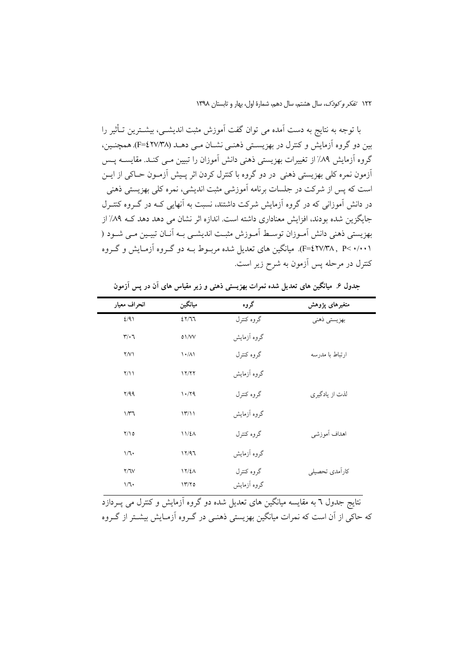با توجه به نتایج به دست آمده می توان گفت آموزش مثبت اندیشــی، بیشــترین تــأثیر را بین دو گروه آزمایش و کنترل در بهزیستی ذهنـی نشــان مـی دهــد (۲۷/۳۸)F=£). همچنــین، گروه آزمایش ۸۹٪ از تغییرات بهزیستی ذهنی دانش آموزان را تبیین مـی کنـد. مقایسـه پـس اّزمون نمره کلّی بھزیستی ذهنی در دو گروه با کنترل کردن اثر پـیش اّزمـون حـاکی از ایــن است که پس از شرکت در جلسات برنامه آموزشی مثبت اندیشی، نمره کلی بهزیستی ذهنی در دانش آموزانی که در گروه آزمایش شرکت داشتند، نسبت به آنهایی کــه در گــروه کنتــرل جایگزین شده بودند، افزایش معناداری داشته است. اندازه اثر نشان می دهد دهد کـه ۸۹٪ از بهزيستي ذهني دانش آمـوزان توسـط آمـوزش مثبـت انديشـي بـه آنــان تبيــين مـي شــود ( (F=٤٢٧/٣٨, P< ٠/٠٠١). میانگین های تعدیل شده مربـوط بـه دو گـروه آزمـایش و گـروه کنترل در مرحله پس آزمون به شرح زیر است.

| انحراف معيار                  | ميانگين                           | گروه        | متغيرهاى پژوهش  |
|-------------------------------|-----------------------------------|-------------|-----------------|
| 2/91                          | 25/77                             | گروه کنترل  | بهزيستي ذهني    |
| $\mathbf{r}/\cdot \mathbf{r}$ | 01/VV                             | گروه آزمایش |                 |
| $\Upsilon/\Upsilon$           | $\lambda \cdot / \lambda \lambda$ | گروه کنترل  | ارتباط با مدرسه |
| $\gamma/\gamma$               | 17/77                             | گروه آزمایش |                 |
| Y/99                          | 1.79                              | گروه کنترل  | لذت از يادگيري  |
| $1/\tau$ ٦                    | 17/11                             | گروه آزمایش |                 |
| Y/10                          | 11/L                              | گروه کنترل  | اهداف أموزشي    |
| 1/1                           | 17/97                             | گروه آزمایش |                 |
| Y/Y                           | 17/2 <sub>A</sub>                 | گروه کنترل  | كارآمدي تحصيلي  |
| 1/1                           | 1770                              | گروه آزمایش |                 |

جدول ۶. میانگین های تعدیل شده نمرات بهزیستی ذهنی و زیر مقیاس های آن در پس آزمون

.<br>نتایج جدول ٦ به مقایسه میانگین های تعدیل شده دو گروه آزمایش و کنترل می پــردازد که حاکی از آن است که نمرات میانگین بهزیستی ذهنبی در گـروه آزمـایش بیشــتر از گـروه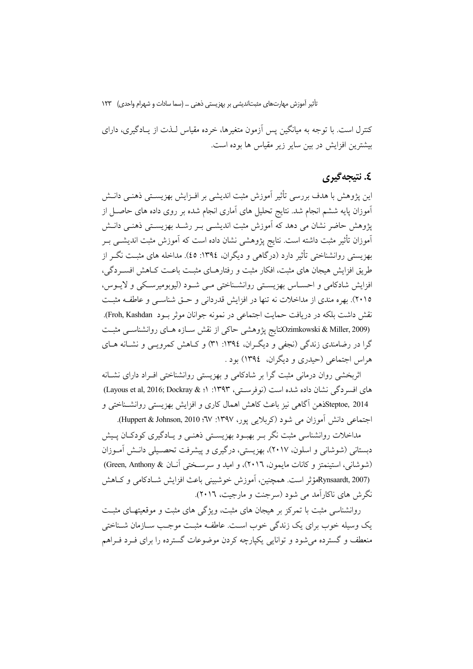کنترل است. با توجه به میانگین پس آزمون متغیرها، خرده مقیاس لـذت از پـادگیری، دارای بیشترین افزایش در بین سایر زیر مقیاس ها بوده است.

### ٤. نتيجەگېرى

این پژوهش با هدف بررسی تأثیر آموزش مثبت اندیشی بر افـزایش بهزیســتی ذهنــی دانــش آموزان پایه ششم انجام شد. نتایج تحلیل های آماری انجام شده بر روی داده های حاصـل از پژوهش حاضر نشان می دهد که آموزش مثبت اندیشــی بــر رشــد بهزیســتی ذهنــی دانــش ۔<br>اَموزان تأثیر مثبت داشته است. نتایج یژوهشی نشان داده است که اَموزش مثبت اندیشــی بــر بهزیستی روانشناختی تأثیر دارد (درگاهی و دیگران، ١٣٩٤: ٤٥). مداخله های مثبت نگــر از طریق افزایش هیجان های مثبت، افکار مثبت و رفتارهـای مثبـت باعـت کـاهش افسـردگی، افزایش شادکامی و احسـاس بهزیسـتی روانشـناختی مـی شـود (لیوبومیرسـکی و لایــوس، ۲۰۱۵). بهره مندی از مداخلات نه تنها در افزایش قدردانی و حتی شناسبی و عاطفه مثبت نقش داشت بلکه در دریافت حمایت اجتماعی در نمونه جوانان موثر بود Froh, Kashdan). (2009,Zimkowski & Miller التايج پژوهشي حاكي از نقش سـازه هـاي روانشناسـي مثبـت گرا در رضامندی زندگی (نجفی و دیگران، ۱۳۹٤: ۳۱) و کیاهش کمروپی و نشیانه هیای هراس اجتماعی (حیدری و دیگران، ١٣٩٤) بود .

اثربخشی روان درمانی مثبت گرا بر شادکامی و بهزیستی روانشناختی افـراد دارای نشــانه های افسر دگی نشان داده شده است (نوفرستی، ۱۳۹۳: ۱؛ Layous et al, 2016; Dockray & ۱) Steptoe, 2014فهن آگاهی نیز باعث کاهش اهمال کاری و افزایش بهزیستی روانشـناختی و اجتماعی دانش اموزان می شود (کربلایی پور، ۱۳۹۷: ۲۷؛ Huppert & Johnson, 2010).

مداخلات روانشناسی مثبت نگر بـر بهبـود بهزیســتی ذهنــی و یــادگیری کودکـان پــیش دبستانی (شوشانی و اسلون، ۲۰۱۷)، بهزیستی، درگیری و پیشرفت تحصـیلی دانـش آمـوزان (شوشانی، استینمتز و کانات مایمون، ٢٠١٦)، و امید و سرسختی آنان & Green, Anthony) (Rynsaardt, 2007مؤثر است. همچنین، اَموزش خوشبینی باعث افزایش شـادکامی و کـاهش نگرش های ناکارآمد می شود (سرجنت و مارجیت، ۲۰۱٦).

روانشناسی مثبت با تمرکز بر هیجان های مثبت، ویژگی های مثبت و موقعیتهـای مثبـت یک وسیله خوب برای یک زندگی خوب است. عاطف مشت موجب سـازمان شـناختی منعطف و گسترده می شود و توانایی یکپارچه کردن موضوعات گسترده را برای فـرد فـراهم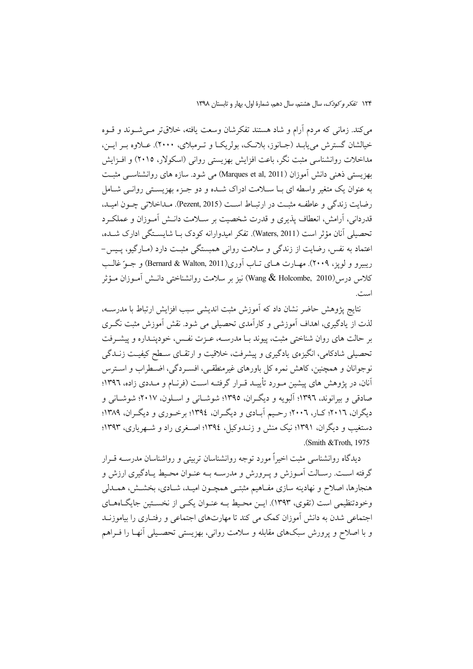می کند. زمانی که مردم آرام و شاد هستند تفکرشان وسعت یافته، خلاقتر مـی شـوند و قـوه خيالشان گسترش مي يابـد (جـانوز، بلانـک، بولريکــا و تــرمبلای، ۲۰۰۰). عــلاوه بـر ايــن، مداخلات روانشناسی مثبت نگر، باعت افزایش بهزیستی روانی (اسکولار، ۲۰۱۵) و افـزایش بھزیستی ذہنی دانش آموزان (Marques et al, 2011) می شود. سازہ ہای روانشناسبی مثبت به عنوان یک متغیر واسطه ای بــا ســلامت ادراک شــده و دو جــزء بهزیســتی روانــی شــامل رضايت زندگي و عاطف مشت در ارتباط است (Pezent, 2015). مداخلاتي چـون اميـد، قدردانی، آرامش، انعطاف یذیری و قدرت شخصیت بر سـلامت دانــش آمــوزان و عملکــرد تحصيلي آنان مؤثر است (Waters, 2011). تفكر اميدوارانه كودك بــا شايســتگي ادارك شــده، اعتماد به نفس، رضایت از زندگی و سلامت روانی همبستگی مثبـت دارد (مــارگیو، پــیس-ريبيرو و لويز، ٢٠٠٩). مهـارت هـاي تـاب آوري(Bernard & Walton, 2011) و جـوّ غالـب كلاس درس(Wang  $\&$  Holcombe, 2010) نيز بر سلامت روانشناختي دانــش آمــوزان مــؤثر است.

نتايج پژوهش حاضر نشان داد كه آموزش مثبت انديشي سبب افزايش ارتباط با مدرسـه، لذت از یادگیری، اهداف اَموزشی و کاراَمدی تحصیلی می شود. نقش اَموزش مثبت نگـری بر حالت های روان شناختی مثبت، پیوند بـا مدرسـه، عـزت نفـس، خودپنـداره و پیشـرفت تحصیلی شادکامی، انگیزهی یادگیری و پیشرفت، خلاقیت و ارتقـای سـطح کیفیـت زنــدگی نوجوانان و همچنین، کاهش نمره کل باورهای غیرمنطقـی، افسـردگی، اضـطراب و اسـترس آنان، در یژوهش های پیشین مـورد تأییـد قـرار گرفتـه اسـت (فرنـام و مـددی زاده، ١٣٩٦؛ صادقی و پیرانوند، ۱۳۹۶؛ آلبو په و دیگران، ۱۳۹۵؛ شوشیانی و اسپلون، ۲۰۱۷؛ شوشیانی و دیگران، ۲۰۱٦؛ کـار، ۲۰۰۲؛ رحـیم آبـادی و دیگـران، ۱۳۹٤؛ برخـوری و دیگـران، ۱۳۸۹؛ دستغیب و دیگران، ۱۳۹۱؛ نیک منش و زنــدوکیل، ۱۳۹٤؛ اصــغری راد و شــهریاری، ۱۳۹۳؛ (Smith & Troth, 1975).

دیدگاه روانشناسی مثبت اخیراً مورد توجه روانشناسان تربیتی و رواشناسان مدرســه قــرار گرفته اسـت. رسـالت اَمـوزش و يـرورش و مدرســه بــه عنـوان محـيط يــادگيري ارزش و هنجارها، اصلاح و نهادینه سازی مفـاهیم مثبتـی همچـون امیـد، شـادی، بخشـش، همـدلی وخودتنظیمی است (تقوی، ۱۳۹۳). ایــز محـیط بــه عنــوان یکــی از نخســتین جایگــاههــای اجتماعی شدن به دانش آموزان کمک می کند تا مهارتهای اجتماعی و رفتـاری را بیاموزنــد و با اصلاح و پرورش سبکهای مقابله و سلامت روانی، بهزیستی تحصـیلی آنهـا را فـراهم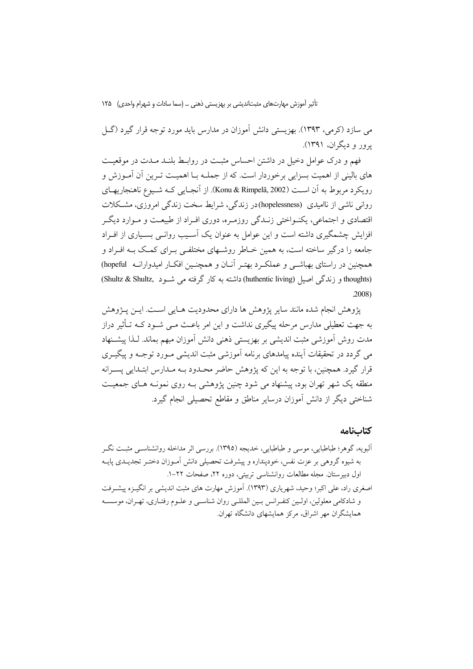می سازد (کرمی، ۱۳۹۳). بهزیستی دانش آموزان در مدارس باید مورد توجه قرار گیرد (گـل برور و دیگران، ۱۳۹۱).

فهم و درک عوامل دخیل در داشتن احساس مثبت در روابط بلنـد مـدت در موقعیـت های بالینی از اهمیت بسزایی برخوردار است. که از جملــه بــا اهمیــت تــرین آن آمــوزش و رويكرد مربوط به أن است (Konu & Rimpelä, 2002). از أنجـايي كــه شــيوع ناهنجاريهـاي روانی ناشی از ناامیدی (hopelessness)در زندگی، شرایط سخت زندگی امروزی، مشکلات اقتصادی و اجتماعی، یکنـواختی زنـدگی روزمـره، دوری افـراد از طبیعـت و مـوارد دیگـر افزایش چشمگیری داشته است و این عوامل به عنوان یک آسـیب روانـی بسـیاری از افـراد جامعه را درگیر ساخته است، به همین خـاطر روشـهای مختلفـی بـرای کمـک بـه افـراد و همچنین در راستای بهباشــی و عملکــرد بهتـر آنــان و همچنــین افکــار امیدوارانــه hopeful) (thoughts) و زندگی اصبل (huthentic living) داشته به کار گرفته می شـود (Shultz & Shultz)  $.2008$ 

يژوهش انجام شده مانند ساير پژوهش ها داراي محدوديت هـايي اسـت. ايــن پــژوهش به جهت تعطیلی مدارس مرحله پیگیری نداشت و این امر باعـث مــی شــود کــه تــأثیر دراز مدت روش آموزشی مثبت اندیشی بر بهزیستی ذهنی دانش آموزان مبهم بماند. لـذا پیشــنهاد می گردد در تحقیقات آینده پیامدهای برنامه آموزشی مثبت اندیشی مـورد توجـه و پیگیـری قرار گیرد. همچنین، با توجه به این که پژوهش حاضر محـدود بــه مـدارس ابتـدایی پسـرانه منطقه یک شهر تهران بود، پیشنهاد می شود چنین پژوهشی بـه روی نمونـه هـای جمعیـت شناختی دیگر از دانش آموزان درسایر مناطق و مقاطع تحصیلی انجام گیرد.

كتابنامه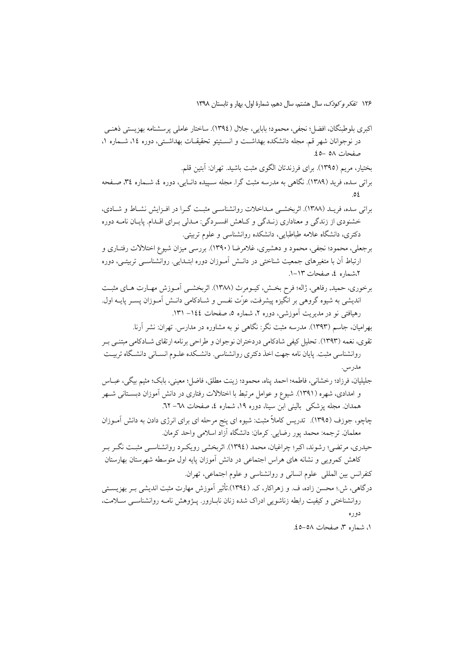- اکيري بلو طبنگان، افضل؛ نجفي، محمود؛ بابايي، جلال (١٣٩٤). ساختار عاملي پرسشنامه بهزيستي ذهنـي در نوجوانان شهر قم. مجله دانشکده بهداشت و انسـتیتو تحقیقـات بهداشـتـی، دوره ۱٤، شـماره ۱، صفحات ٥٨ -٤٥.
	- بختیار، مریم (١٣٩٥). برای فرزندتان الگوی مثبت باشید. تهران: آبتین قلم.
- براتی سده، فرید (۱۳۸۹). نگاهی به مدرسه مثبت گرا. مجله سـپیده دانـایی، دوره ٤، شـماره ٣٤، صـفحه  $\circ$
- براتی سده، فریـد (۱۳۸۸). اثربخشـی مـداخلات روانشناسـی مثبـت گـرا در افـزایش نشـاط و شـادی، خشنودي از زندگي و معناداري زنـدگي و كـاهش افسـردگي: مـدلي بـراي اقـدام. پايـان نامـه دوره دکتری، دانشگاه علامه طباطبایی، دانشکده روانشناسی و علوم تربیتی.
- برجعلي، محمود؛ نجفي، محمود و دهشيري، غلامرضا (١٣٩٠). بررسي ميزان شيوع اختلالات رفتــاري و ارتباط آن با متغیرهای جمعیت شناختی در دانــش آمــوزان دوره ابتــدایی. روانشناســی تربیتــی، دوره ۲،شماره ٤، صفحات ١٣-١.
- برخوري، حميد, رفاهي، ژاله؛ فرح بخـش، كيـومرث (١٣٨٨). اثربخشــي أمـوزش مهـارت هـاي مثبـت اندیشی به شیوه گروهی بر انگیزه پیشرفت، عزّت نفـس و شــادکامی دانـش آمــوزان پســر پایــه اول. رهیافتی نو در مدیریت آموزشی، دوره ۲، شماره ۵، صفحات ۱٤٤– ۱۳۱.
	- بهرامیان، جاسم (۱۳۹۳). مدرسه مثبت نگر: نگاهی نو به مشاوره در مدارس. تهران: نشر آرنا.
- تقوى، نغمه (١٣٩٣). تحليل كيفي شادكامي دردختران نوجوان و طراحي برنامه ارتقاي شـادكامي مبتنـي بـر روانشناسی مثبت. پایان نامه جهت اخذ دکتری روانشناسی. دانشـکده علـوم انسـانی دانشـگاه تربیـت مدرس.
- جليليان، فرزاد؛ رخشاني، فاطمه؛ احمد يناه، محمود؛ زينت مطلق، فاضل؛ معيني، بابك؛ مثيم بيگي، عبــاس و امدادی، شهره (۱۳۹۱). شیوع و عوامل مرتبط با اختلالات رفتاری در دانش آموزان دبستانی شـهر همدان مجله پزشکی بالینی ابن سینا، دوره ١٩، شماره ٤، صفحات ٦٨- ٦٢.
- چاچو، جوزف (١٣٩٥). تدريس كاملاً مثبت: شيوه اي پنج مرحله اي براي انرژي دادن به دانش آمـوزان معلمان. ترجمه: محمد پور رضایی. کرمان: دانشگاه آزاد اسلامی واحد کرمان.
- حیدری، مرتضی؛ رشوند، اکبر؛ چراغیان، محمد (١٣٩٤). اثربخشی رویک ر ورانشناســی مثبـت نگــر بــر کاهش کمرویی و نشانه های هراس اجتماعی در دانش آموزان پایه اول متوسطه شهرستان بهارستان كنفرانس بين المللي علوم انساني و روانشناسي و علوم اجتماعي، تهران.
- درگاهی، ش.؛ محسن زاده، ف. و زهراکار، ک. (١٣٩٤).تأثیر آموزش مهارت مثبت اندیشی بـر بهزیسـتی روانشناختی و کیفیت رابطه زناشویی ادراک شده زنان نابـارور. پـژوهش نامـه روانشناسـی ســلامت، دوره
	- ١، شماره ٣، صفحات ٥٨-٤٥.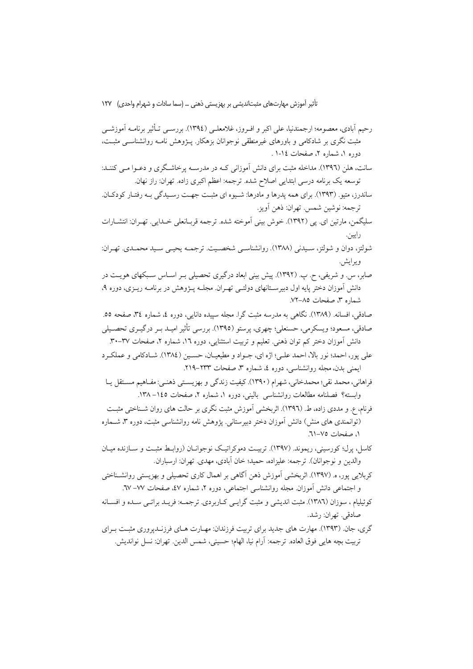رحيم أبادي، معصومه؛ ارجمندنيا، على اكبر و افيروز، غلامعلـي (١٣٩٤). بررسـي تـأثير برنامـه أموزشـي مثبت نگری بر شادکامی و باورهای غیرمنطقی نوجوانان بزهکار. پــژوهش نامــه روانشناســی مثبــت، دوره ۱، شماره ۲، صفحات ۱-۱.

- سانت، هلن (۱۳۹٦). مداخله مثبت برای دانش آموزانی کـه در مدرســه پرخاشـگری و دعــوا مــی کننــد: توسعه يک برنامه درسي ابتدايي اصلاح شده. ترجمه: اعظم اکبري زاده. تهران: راز نهان.
- ساندرز، متیو. (۱۳۹۳). برای همه پدرها و مادرها: شـیوه ای مثبـت جهـت رسـیدگی بـه رفتـار کودکـان. ترجمه: نوشين شمس. تهران: ذهن أويز.
- سليگمن، مارتين اي. پي (١٣٩٢). خوش بيني اَموخته شده. ترجمه قربـانعلي خـدايي. تهـران: انتشــارات رايين.
- شولتز، دوان و شولتز، سبیدنی (۱۳۸۸). روانشناسبی شخصیت. ترجمـه یحیـی سبید محمـدی. تهـران: ويرايش.
- صابر، س. و شریفی، ح. پ. (۱۳۹۲). پیش بینی ابعاد درگیری تحصیلی بـر اسـاس سـبکهای هویـت در دانش آموزان دختر پایه اول دبیرسـتانهای دولتـی تهـران. مجلــه پــژوهش در برنامــه ریــزی، دوره ۹، شماره ۳، صفحات ۷۵–۷۲.
- صادقی، افسانه. (۱۳۸۹). نگاهی به مدرسه مثبت گرا. مجله سپیده دانایی، دوره ٤، شماره ٣٤، صفحه ٥٥. صادقي، مسعود؛ ويسكرمي، حسنعلي؛ چهري، پرستو (١٣٩٥). بررسي تأثير اميـد بـر درگيـري تحصـيلي دانش اموزان دختر کم توان ذهنی. تعلیم و تربیت استثنایی، دوره ۱٦، شماره ۲، صفحات ۳۷–۳۰.
- علي يور، احمد؛ نور بالا، احمد علي؛ اژه اي، جـواد و مطيعيـان، حسـين (١٣٨٤). شــادكامي و عملكـرد ایمنی بدن، مجله روانشناسی، دوره ٤، شماره ٣، صفحات ٢٣٣–٢١٩.
- فراهانی، محمد نقی؛ محمدخانی، شهرام (۱۳۹۰). کیفیت زندگی و بهزیسـتی ذهنـی: مفـاهیم مسـتقا ٍ یـا وابسته؟ فصلنامه مطالعات روانشناسی بالینی، دوره ١، شماره ٢، صفحات ١٤٥–١٣٨.
- فرنام، ع. و مددی زاده، ط. (١٣٩٦). اثربخشی اَموزش مثبت نگری بر حالت های روان شـناختی مثبـت (توانمندی های منش) دانش آموزان دختر دبیرستانی. پژوهش نامه روانشناسی مثبت، دوره ۳، شـماره ١، صفحات ٧٥-٦١.
- کاسل، پرل؛ کورسینی، ریموند. (۱۳۹۷). تربیت دموکراتیک نوجوانـان (روابـط مثبـت و ســازنده میـان والدين و نوجوانان). ترجمه: عليزاده، حميد؛ خان آبادي، مهدي. تهران: ارسباران.
- کربلایی پور، ه. (۱۳۹۷). اثربخشی آموزش ذهن آگاهی بر اهمال کاری تحصیلی و بهزیستی روانشـناختی و اجتماعی دانش آموزان. مجله روانشناسی اجتماعی، دوره ۲، شماره ٤٧، صفحات ٧٧– ٦٧.
- کوئیلیام ، سوزان (۱۳۸٦). مثبت اندیشی و مثبت گرایے کیاربردی. ترجمیه: فریبد براتبی سیده و افسیانه صادقي. تهران: رشد.
- گری، جان. (۱۳۹۳). مهارت های جدید برای تربیت فرزندان: مهـارت هـای فرزنــدیروری مثبـت بـرای تربيت بچه هايي فوق العاده. ترجمه: آرام نيا، الهام؛ حسيني، شمس الدين. تهران: نسل نوانديش.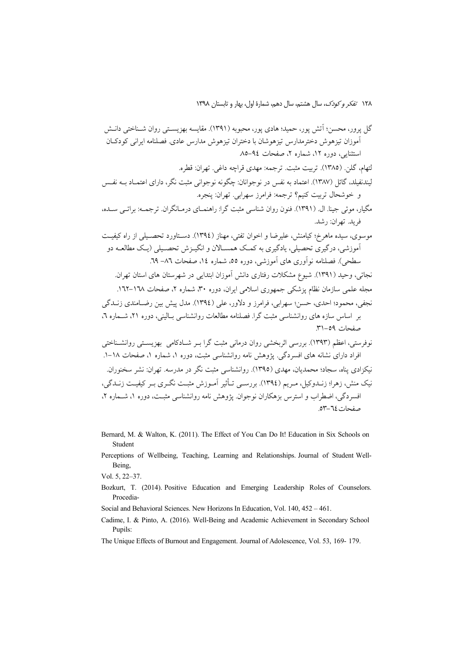گل پرور، محسن؛ آتش پور، حمید؛ هادی پور، محبوبه (۱۳۹۱). مقایسه بهزیستی روان شـناختی دانـش آموزان تیزهوش دخترمدارس تیزهوشان با دختران تیزهوش مدارس عادی. فصلنامه ایرانی کودکـان استثنایه، دوره ۱۲، شماره ۲، صفحات ۹٤–۸۵ لتهام، گلن. (١٣٨٥). تربيت مثبت. ترجمه: مهدي قراچه داغي. تهران: قطره. لیندنفیلد، گائل (۱۳۸۷). اعتماد به نفس در نوجوانان: چگونه نوجوانی مثبت نگر، دارای اعتمــاد بــه نفــس و خوشحال تربيت كنيم؟ ترجمه: فرامرز سهرابي. تهران: پنجره. مگیار، موئی جینا. ال. (١٣٩١). فنون روان شناسی مثبت گرا: راهنمـای درمـانگران. ترجمــه: براتــي ســده، فريد. تهران: رشد. موسوی، سیده ماهرخ؛ کیامنش، علیرضا و اخوان تفتی، مهناز (١٣٩٤). دسـتاورد تحصـیلی از راه کیفیـت آموزشی، درگیری تحصیلی، یادگیری به کمک همســالان و انگـیـزش تحصــیلی (یـک مطالعــه دو سطحي). فصلنامه نوآوري هاي آموزشي، دوره ٥٥، شماره ١٤، صفحات ٨٦– ٦٩. نجاتی، وحید (۱۳۹۱). شیوع مشکلات رفتاری دانش آموزان ابتدایے در شهرستان های استان تهران. مجله علمی سازمان نظام یزشکی جمهوری اسلامی ایران، دوره ۳۰، شماره ۲، صفحات ۱٦۷–۱٦۲. نجفي، محمود؛ احدي، حسن؛ سهرابي، فرامرز و دلاور، علي (١٣٩٤). مدل پيش بين رضـامندي زنــدگي بر اساس سازه های روانشناسی مثبت گرا. فصلنامه مطالعات روانشناسی بـالینی، دوره ۲۱، شـماره ۲. صفحات ٥٩-٣١. نوفرستی، اعظم (۱۳۹۳). بررسی اثربخشی روان درمانی مثبت گرا بـر شـادکامی بهزیسـتی روانشـناختی افراد دارای نشانه های افسردگی. یژوهش نامه روانشناسی مثبت، دوره ۱، شماره ۱، صفحات ۱۸–۱. نیکزادی پناه، سجاد؛ محمدیان، مهدی (١٣٩٥). روانشناسی مثبت نگر در مدرسه. تهران: نشر سخنوران. نیک منش، زهرا؛ زنــدوکیل، مـریم (١٣٩٤). بررسـي تــأثیر آمـوزش مثبـت نگـری بـر کیفیـت زنــدگی، افسردگی، اضطراب و استرس بزهکاران نوجوان. بژوهش نامه روانشناسی مثبت، دوره ۱، شیماره ۲، صفحات ٢٤-٥٣.

- Bernard, M. & Walton, K. (2011). The Effect of You Can Do It! Education in Six Schools on Student
- Perceptions of Wellbeing, Teaching, Learning and Relationships. Journal of Student Well-Being,

Vol. 5, 22-37.

- Bozkurt, T. (2014). Positive Education and Emerging Leadership Roles of Counselors. Procedia-
- Social and Behavioral Sciences. New Horizons In Education, Vol. 140, 452 461.
- Cadime, I. & Pinto, A. (2016). Well-Being and Academic Achievement in Secondary School Pupils:
- The Unique Effects of Burnout and Engagement. Journal of Adolescence, Vol. 53, 169-179.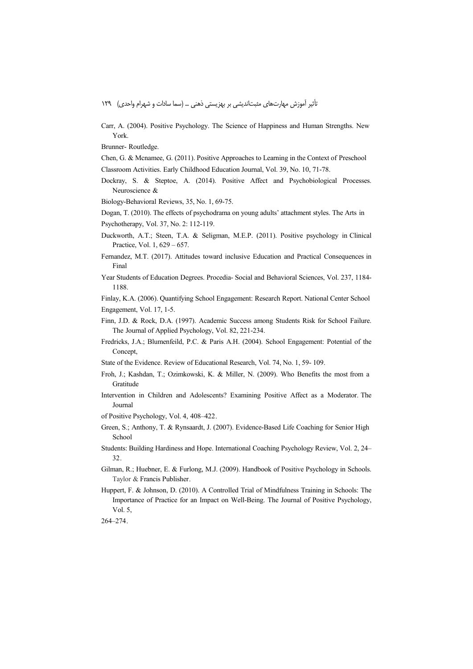Carr, A. (2004). Positive Psychology. The Science of Happiness and Human Strengths. New York.

Brunner-Routledge.

Chen, G. & Mcnamee, G. (2011). Positive Approaches to Learning in the Context of Preschool

Classroom Activities. Early Childhood Education Journal, Vol. 39, No. 10, 71-78.

Dockray, S. & Steptoe, A. (2014). Positive Affect and Psychobiological Processes. Neuroscience &

Biology-Behavioral Reviews, 35, No. 1, 69-75.

Dogan, T. (2010). The effects of psychodrama on young adults' attachment styles. The Arts in

Psychotherapy, Vol. 37, No. 2: 112-119.

- Duckworth, A.T.; Steen, T.A. & Seligman, M.E.P. (2011). Positive psychology in Clinical Practice, Vol. 1, 629 – 657.
- Fernandez, M.T. (2017). Attitudes toward inclusive Education and Practical Consequences in Final
- Year Students of Education Degrees. Procedia- Social and Behavioral Sciences, Vol. 237, 1184-1188.

Finlay, K.A. (2006). Quantifying School Engagement: Research Report. National Center School Engagement, Vol. 17, 1-5.

- Finn, J.D. & Rock, D.A. (1997). Academic Success among Students Risk for School Failure. The Journal of Applied Psychology, Vol. 82, 221-234.
- Fredricks, J.A.; Blumenfeild, P.C. & Paris A.H. (2004). School Engagement: Potential of the Concept,

State of the Evidence. Review of Educational Research, Vol. 74, No. 1, 59-109.

- Froh, J.; Kashdan, T.; Ozimkowski, K. & Miller, N. (2009). Who Benefits the most from a Gratitude
- Intervention in Children and Adolescents? Examining Positive Affect as a Moderator. The Journal
- of Positive Psychology, Vol. 4, 408-422.
- Green, S.; Anthony, T. & Rynsaardt, J. (2007). Evidence-Based Life Coaching for Senior High School
- Students: Building Hardiness and Hope. International Coaching Psychology Review, Vol. 2, 24–  $32.$
- Gilman, R.; Huebner, E. & Furlong, M.J. (2009). Handbook of Positive Psychology in Schools. Taylor & Francis Publisher.
- Huppert, F. & Johnson, D. (2010). A Controlled Trial of Mindfulness Training in Schools: The Importance of Practice for an Impact on Well-Being. The Journal of Positive Psychology, Vol.  $5$ ,

264-274.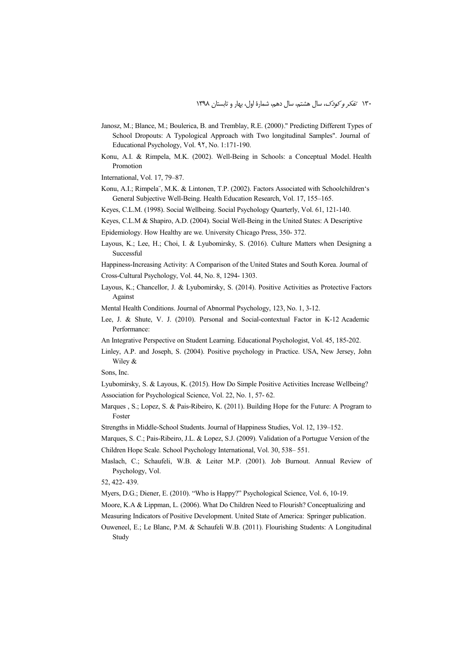- Janosz, M.; Blance, M.; Boulerica, B. and Tremblay, R.E. (2000)." Predicting Different Types of School Dropouts: A Typological Approach with Two longitudinal Samples". Journal of Educational Psychology, Vol. 97, No. 1:171-190.
- Konu, A.I. & Rimpela, M.K. (2002). Well-Being in Schools: a Conceptual Model. Health Promotion
- International, Vol. 17, 79–87.
- Konu, A.I.; Rimpela¨, M.K. & Lintonen, T.P. (2002). Factors Associated with Schoolchildren's General Subjective Well-Being. Health Education Research, Vol. 17, 155–165.
- Keyes, C.L.M. (1998). Social Wellbeing. Social Psychology Quarterly, Vol. 61, 121-140.
- Keyes, C.L.M & Shapiro, A.D. (2004). Social Well-Being in the United States: A Descriptive
- Epidemiology. How Healthy are we. University Chicago Press, 350- 372.
- Layous, K.; Lee, H.; Choi, I. & Lyubomirsky, S. (2016). Culture Matters when Designing a Successful

Happiness-Increasing Activity: A Comparison of the United States and South Korea. Journal of Cross-Cultural Psychology, Vol. 44, No. 8, 1294- 1303.

- Layous, K.; Chancellor, J. & Lyubomirsky, S. (2014). Positive Activities as Protective Factors Against
- Mental Health Conditions. Journal of Abnormal Psychology, 123, No. 1, 3-12.
- Lee, J. & Shute, V. J. (2010). Personal and Social-contextual Factor in K-12 Academic Performance:
- An Integrative Perspective on Student Learning. Educational Psychologist, Vol. 45, 185-202.
- Linley, A.P. and Joseph, S. (2004). Positive psychology in Practice. USA, New Jersey, John Wiley &
- Sons, Inc.
- Lyubomirsky, S. & Layous, K. (2015). How Do Simple Positive Activities Increase Wellbeing? Association for Psychological Science, Vol. 22, No. 1, 57- 62.
- Marques , S.; Lopez, S. & Pais-Ribeiro, K. (2011). Building Hope for the Future: A Program to Foster
- Strengths in Middle-School Students. Journal of Happiness Studies, Vol. 12, 139–152.
- Marques, S. C.; Pais-Ribeiro, J.L. & Lopez, S.J. (2009). Validation of a Portugue Version of the Children Hope Scale. School Psychology International, Vol. 30, 538– 551.
- Maslach, C.; Schaufeli, W.B. & Leiter M.P. (2001). Job Burnout. Annual Review of Psychology, Vol.
- 52, 422- 439.
- Myers, D.G.; Diener, E. (2010). "Who is Happy?" Psychological Science, Vol. 6, 10-19.
- Moore, K.A & Lippman, L. (2006). What Do Children Need to Flourish? Conceptualizing and
- Measuring Indicators of Positive Development. United State of America: Springer publication.
- Ouweneel, E.; Le Blanc, P.M. & Schaufeli W.B. (2011). Flourishing Students: A Longitudinal Study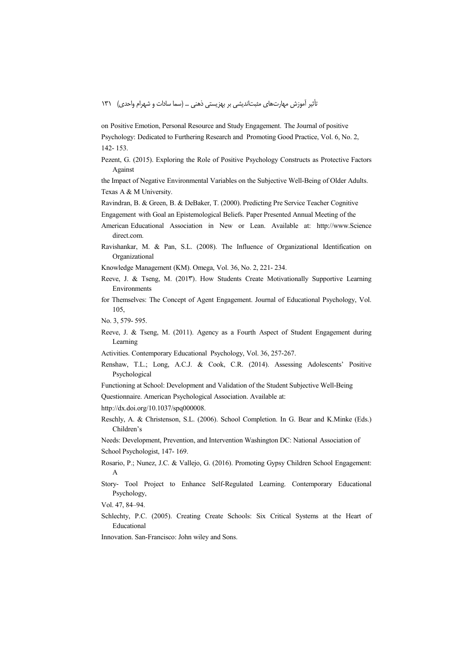on Positive Emotion, Personal Resource and Study Engagement. The Journal of positive Psychology: Dedicated to Furthering Research and Promoting Good Practice, Vol. 6, No. 2, 142-153.

Pezent, G. (2015). Exploring the Role of Positive Psychology Constructs as Protective Factors Against

the Impact of Negative Environmental Variables on the Subjective Well-Being of Older Adults. Texas A & M University.

Ravindran, B. & Green, B. & DeBaker, T. (2000). Predicting Pre Service Teacher Cognitive

- Engagement with Goal an Epistemological Beliefs. Paper Presented Annual Meeting of the
- American Educational Association in New or Lean. Available at: http://www.Science direct com
- Ravishankar, M. & Pan, S.L. (2008). The Influence of Organizational Identification on Organizational

Knowledge Management (KM), Omega, Vol. 36, No. 2, 221-234.

- Reeve, J. & Tseng, M. (2017). How Students Create Motivationally Supportive Learning Environments
- for Themselves: The Concept of Agent Engagement. Journal of Educational Psychology, Vol. 105.

No. 3, 579-595.

Reeve, J. & Tseng, M. (2011). Agency as a Fourth Aspect of Student Engagement during Learning

Activities. Contemporary Educational Psychology, Vol. 36, 257-267.

- Renshaw, T.L.; Long, A.C.J. & Cook, C.R. (2014). Assessing Adolescents' Positive Psychological
- Functioning at School: Development and Validation of the Student Subjective Well-Being
- Questionnaire. American Psychological Association. Available at:

http://dx.doi.org/10.1037/spq000008.

Reschly, A. & Christenson, S.L. (2006). School Completion. In G. Bear and K.Minke (Eds.) Children's

Needs: Development, Prevention, and Intervention Washington DC: National Association of School Psychologist, 147-169.

- Rosario, P.; Nunez, J.C. & Vallejo, G. (2016). Promoting Gypsy Children School Engagement:  $\overline{A}$
- Story- Tool Project to Enhance Self-Regulated Learning. Contemporary Educational Psychology,

Schlechty, P.C. (2005). Creating Create Schools: Six Critical Systems at the Heart of Educational

Innovation. San-Francisco: John wiley and Sons.

Vol. 47, 84-94.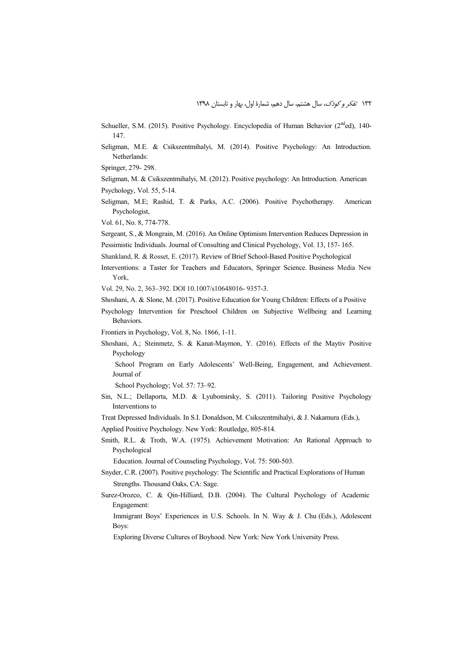Schueller, S.M. (2015). Positive Psychology. Encyclopedia of Human Behavior (2<sup>nd</sup>ed), 140-147.

Seligman, M.E. & Csikszentmihalyi, M. (2014). Positive Psychology: An Introduction. Netherlands:

Springer, 279- 298.

- Seligman, M. & Csikszentmihalyi, M. (2012). Positive psychology: An Introduction. American Psychology, Vol. 55, 5-14.
- Seligman, M.E; Rashid, T. & Parks, A.C. (2006). Positive Psychotherapy. American Psychologist,
- Vol. 61, No. 8, 774-778.

Sergeant, S., & Mongrain, M. (2016). An Online Optimism Intervention Reduces Depression in Pessimistic Individuals. Journal of Consulting and Clinical Psychology, Vol. 13, 157- 165.

- Shankland, R. & Rosset, E. (2017). Review of Brief School-Based Positive Psychological
- Interventions: a Taster for Teachers and Educators, Springer Science. Business Media New York,

Vol. 29, No. 2, 363–392. DOI 10.1007/s10648016- 9357-3.

- Shoshani, A. & Slone, M. (2017). Positive Education for Young Children: Effects of a Positive
- Psychology Intervention for Preschool Children on Subjective Wellbeing and Learning Behaviors.

Frontiers in Psychology, Vol. 8, No. 1866, 1-11.

Shoshani, A.; Steinmetz, S. & Kanat-Maymon, Y. (2016). Effects of the Maytiv Positive Psychology

 School Program on Early Adolescents' Well-Being, Engagement, and Achievement. Journal of

School Psychology; Vol. 57: 73–92.

- Sin, N.L.; Dellaporta, M.D. & Lyubomirsky, S. (2011). Tailoring Positive Psychology Interventions to
- Treat Depressed Individuals. In S.I. Donaldson, M. Csikszentmihalyi, & J. Nakamura (Eds.),
- Applied Positive Psychology. New York: Routledge, 805-814.
- Smith, R.L. & Troth, W.A. (1975). Achievement Motivation: An Rational Approach to Psychological

Education. Journal of Counseling Psychology, Vol. 75: 500-503.

- Snyder, C.R. (2007). Positive psychology: The Scientific and Practical Explorations of Human Strengths. Thousand Oaks, CA: Sage.
- Surez-Orozco, C. & Qin-Hilliard, D.B. (2004). The Cultural Psychology of Academic Engagement:

 Immigrant Boys' Experiences in U.S. Schools. In N. Way & J. Chu (Eds.), Adolescent Boys:

Exploring Diverse Cultures of Boyhood. New York: New York University Press.